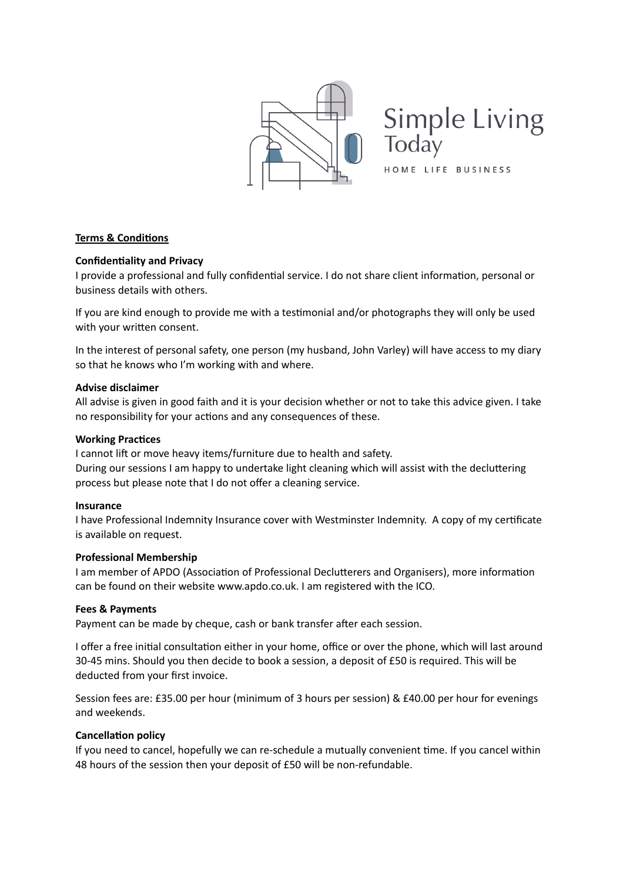

**Simple Living** Today

HOME LIFE BUSINESS

## **Terms & Conditions**

### **Confidentiality and Privacy**

I provide a professional and fully confidential service. I do not share client information, personal or business details with others.

If you are kind enough to provide me with a testimonial and/or photographs they will only be used with your written consent.

In the interest of personal safety, one person (my husband, John Varley) will have access to my diary so that he knows who I'm working with and where.

#### **Advise disclaimer**

All advise is given in good faith and it is your decision whether or not to take this advice given. I take no responsibility for your actions and any consequences of these.

#### **Working Practices**

I cannot lift or move heavy items/furniture due to health and safety. During our sessions I am happy to undertake light cleaning which will assist with the decluttering process but please note that I do not offer a cleaning service.

#### **Insurance**

I have Professional Indemnity Insurance cover with Westminster Indemnity. A copy of my certificate is available on request.

### **Professional Membership**

I am member of APDO (Association of Professional Declutterers and Organisers), more information can be found on their website www.apdo.co.uk. I am registered with the ICO.

### **Fees & Payments**

Payment can be made by cheque, cash or bank transfer after each session.

I offer a free initial consultation either in your home, office or over the phone, which will last around 30-45 mins. Should you then decide to book a session, a deposit of £50 is required. This will be deducted from your first invoice.

Session fees are: £35.00 per hour (minimum of 3 hours per session) & £40.00 per hour for evenings and weekends.

### **Cancellation policy**

If you need to cancel, hopefully we can re-schedule a mutually convenient time. If you cancel within 48 hours of the session then your deposit of £50 will be non-refundable.